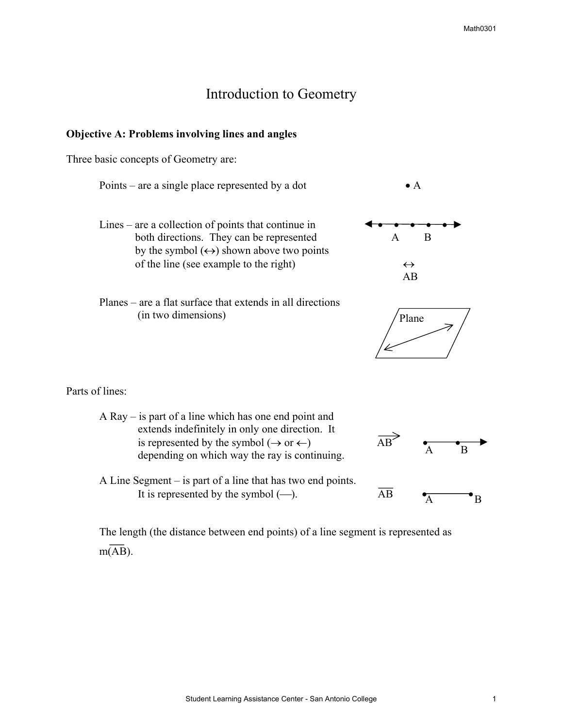## Introduction to Geometry

## **Objective A: Problems involving lines and angles**

Three basic concepts of Geometry are:

Points – are a single place represented by a dot  $\bullet$  A

- Lines are a collection of points that continue in both directions. They can be represented A B by the symbol  $(\leftrightarrow)$  shown above two points of the line (see example to the right)  $\leftrightarrow$
- Planes are a flat surface that extends in all directions (in two dimensions)





Parts of lines:

 A Ray – is part of a line which has one end point and extends indefinitely in only one direction. It is represented by the symbol (→ or ←) AB • • depending on which way the ray is continuing.



 $\mathbf{B}$ 

 A Line Segment – is part of a line that has two end points. It is represented by the symbol (-).  $\overline{AB}$  •  $\overline{AB}$ 

 The length (the distance between end points) of a line segment is represented as  $m(AB)$ .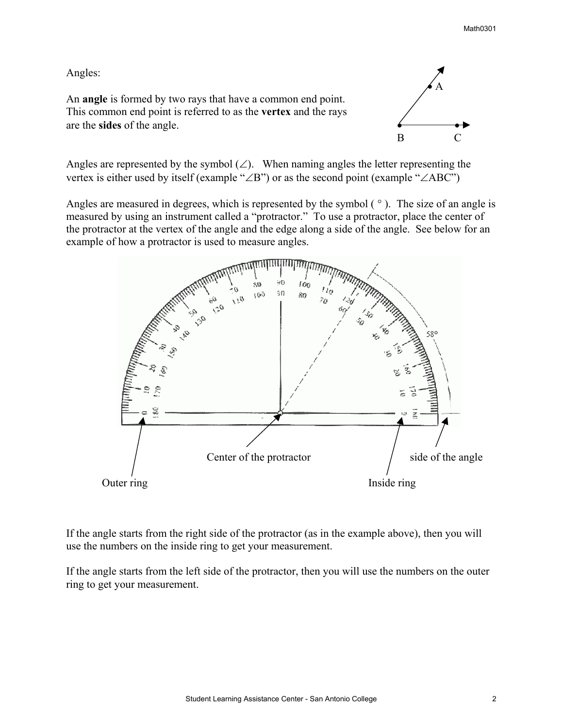## Angles:

An **angle** is formed by two rays that have a common end point. This common end point is referred to as the **vertex** and the rays are the **sides** of the angle. • •



Angles are represented by the symbol  $(\angle)$ . When naming angles the letter representing the vertex is either used by itself (example "∠B") or as the second point (example "∠ABC")

Angles are measured in degrees, which is represented by the symbol ( $\degree$ ). The size of an angle is measured by using an instrument called a "protractor." To use a protractor, place the center of the protractor at the vertex of the angle and the edge along a side of the angle. See below for an example of how a protractor is used to measure angles.



If the angle starts from the right side of the protractor (as in the example above), then you will use the numbers on the inside ring to get your measurement.

If the angle starts from the left side of the protractor, then you will use the numbers on the outer ring to get your measurement.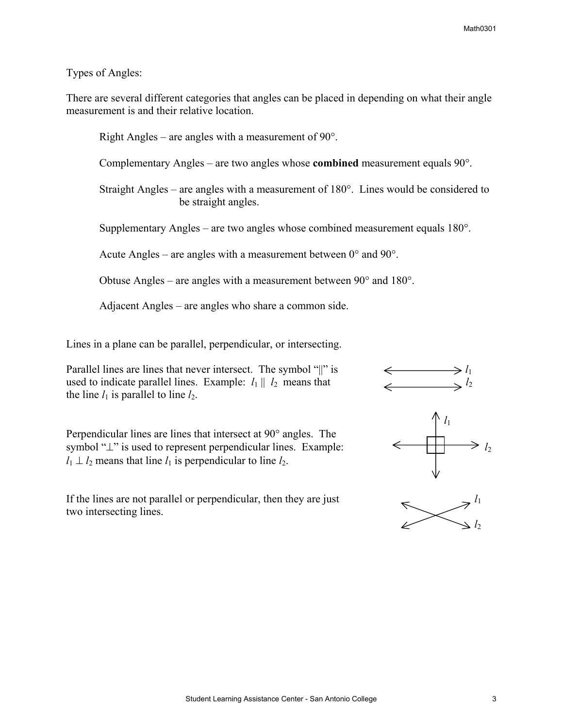## Types of Angles:

There are several different categories that angles can be placed in depending on what their angle measurement is and their relative location.

 Right Angles – are angles with a measurement of 90°. Complementary Angles – are two angles whose **combined** measurement equals 90°. Straight Angles – are angles with a measurement of 180°. Lines would be considered to be straight angles. Supplementary Angles – are two angles whose combined measurement equals 180°. Acute Angles – are angles with a measurement between  $0^{\circ}$  and  $90^{\circ}$ . Obtuse Angles – are angles with a measurement between 90° and 180°.

Adjacent Angles – are angles who share a common side.

Lines in a plane can be parallel, perpendicular, or intersecting.

Parallel lines are lines that never intersect. The symbol "||" is  $\iff l_1$ <br>used to indicate parallel lines. Example:  $l_1 \parallel l_2$  means that  $\iff l_2$ used to indicate parallel lines. Example:  $l_1 || l_2$  means that the line  $l_1$  is parallel to line  $l_2$ .

Perpendicular lines are lines that intersect at 90° angles. The Perpendicular lines are lines that intersect at 90° angles. The symbol " $\perp$ " is used to represent perpendicular lines. Example:  $l_1 \perp l_2$  means that line  $l_1$  is perpendicular to line  $l_2$ .  $l_1 \perp l_2$  means that line  $l_1$  is perpendicular to line  $l_2$ .

If the lines are not parallel or perpendicular, then they are just two intersecting lines.





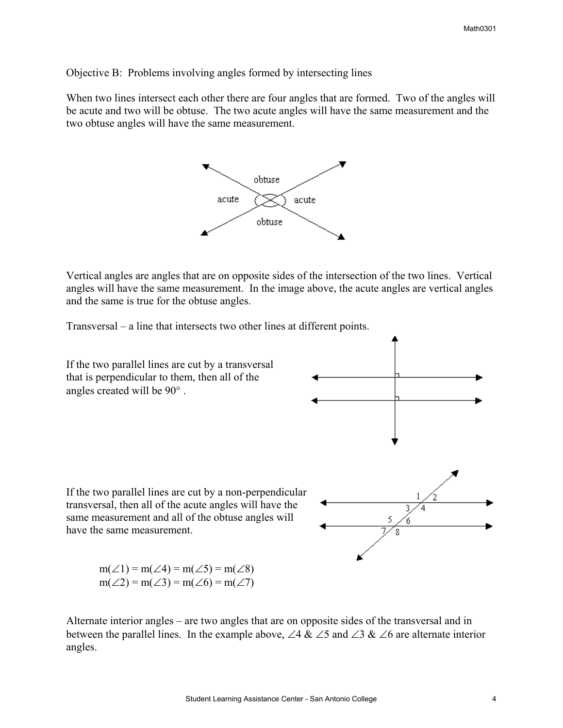Objective B: Problems involving angles formed by intersecting lines

When two lines intersect each other there are four angles that are formed. Two of the angles will be acute and two will be obtuse. The two acute angles will have the same measurement and the two obtuse angles will have the same measurement.



Vertical angles are angles that are on opposite sides of the intersection of the two lines. Vertical angles will have the same measurement. In the image above, the acute angles are vertical angles and the same is true for the obtuse angles.

Transversal – a line that intersects two other lines at different points.



Alternate interior angles – are two angles that are on opposite sides of the transversal and in between the parallel lines. In the example above, ∠4 & ∠5 and ∠3 & ∠6 are alternate interior angles.